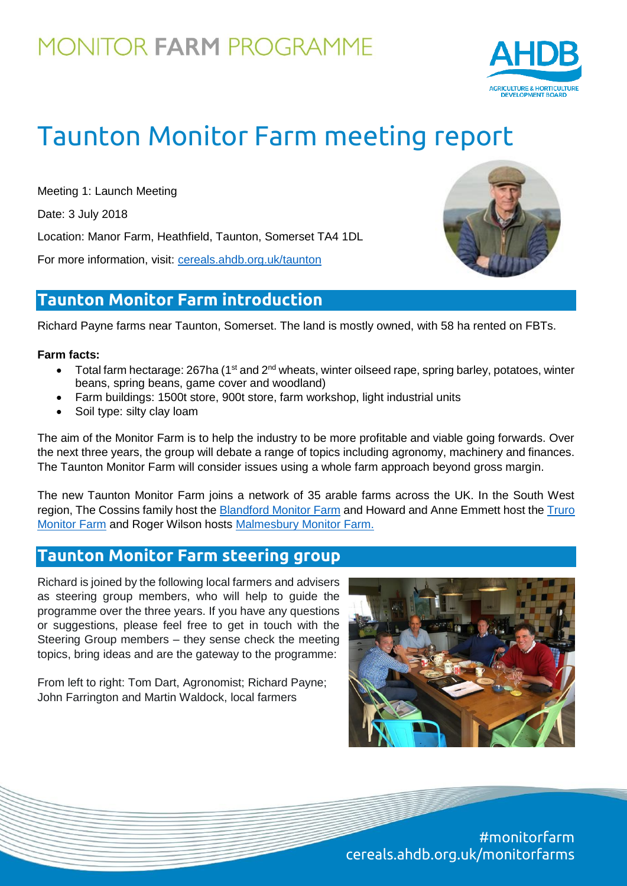

# Taunton Monitor Farm meeting report

Meeting 1: Launch Meeting Date: 3 July 2018 Location: Manor Farm, Heathfield, Taunton, Somerset TA4 1DL For more information, visit: [cereals.ahdb.org.uk/t](https://cereals.ahdb.org.uk/get-involved/monitorfarms/saltburn-monitor-farm.aspx)aunton

### **Taunton Monitor Farm introduction**

Richard Payne farms near Taunton, Somerset. The land is mostly owned, with 58 ha rented on FBTs.

#### **Farm facts:**

- $\bullet$  Total farm hectarage: 267ha (1<sup>st</sup> and 2<sup>nd</sup> wheats, winter oilseed rape, spring barley, potatoes, winter beans, spring beans, game cover and woodland)
- Farm buildings: 1500t store, 900t store, farm workshop, light industrial units
- Soil type: silty clay loam

The aim of the Monitor Farm is to help the industry to be more profitable and viable going forwards. Over the next three years, the group will debate a range of topics including agronomy, machinery and finances. The Taunton Monitor Farm will consider issues using a whole farm approach beyond gross margin.

The new Taunton Monitor Farm joins a network of 35 arable farms across the UK. In the South West region, The Cossins family host the [Blandford Monitor Farm](https://cereals.ahdb.org.uk/get-involved/monitorfarms/blandford-monitor-farm.aspx) and Howard and Anne Emmett host the [Truro](https://cereals.ahdb.org.uk/get-involved/monitorfarms/truro.aspx)  [Monitor Farm](https://cereals.ahdb.org.uk/get-involved/monitorfarms/truro.aspx) and Roger Wilson hosts [Malmesbury Monitor Farm.](https://cereals.ahdb.org.uk/get-involved/monitorfarms/malmesbury-monitor-farm.aspx)

### **Taunton Monitor Farm steering group**

Richard is joined by the following local farmers and advisers as steering group members, who will help to guide the programme over the three years. If you have any questions or suggestions, please feel free to get in touch with the Steering Group members – they sense check the meeting topics, bring ideas and are the gateway to the programme:

From left to right: Tom Dart, Agronomist; Richard Payne; John Farrington and Martin Waldock, local farmers



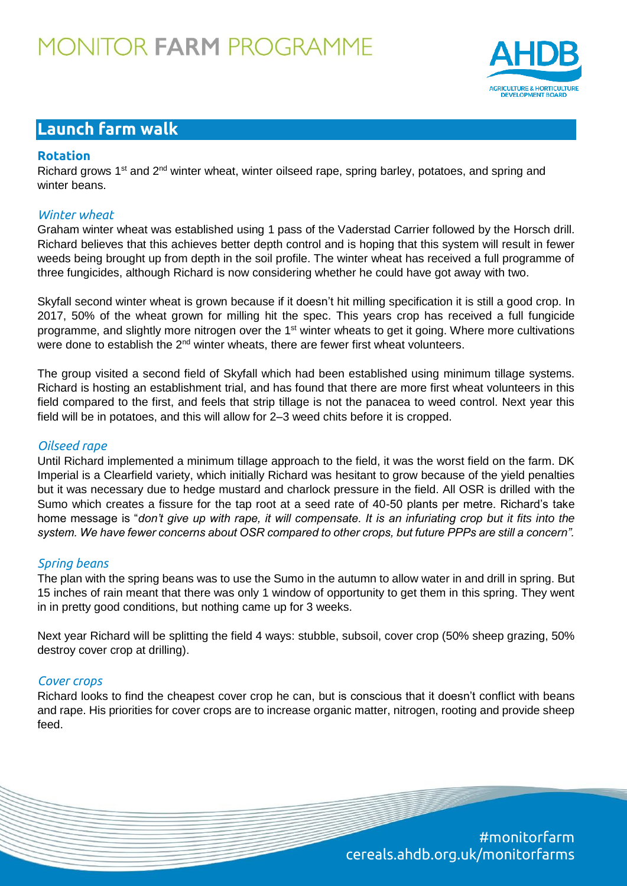

### **Launch farm walk**

#### **Rotation**

Richard grows  $1^{st}$  and  $2^{nd}$  winter wheat, winter oilseed rape, spring barley, potatoes, and spring and winter beans.

#### *Winter wheat*

Graham winter wheat was established using 1 pass of the Vaderstad Carrier followed by the Horsch drill. Richard believes that this achieves better depth control and is hoping that this system will result in fewer weeds being brought up from depth in the soil profile. The winter wheat has received a full programme of three fungicides, although Richard is now considering whether he could have got away with two.

Skyfall second winter wheat is grown because if it doesn't hit milling specification it is still a good crop. In 2017, 50% of the wheat grown for milling hit the spec. This years crop has received a full fungicide programme, and slightly more nitrogen over the 1<sup>st</sup> winter wheats to get it going. Where more cultivations were done to establish the  $2<sup>nd</sup>$  winter wheats, there are fewer first wheat volunteers.

The group visited a second field of Skyfall which had been established using minimum tillage systems. Richard is hosting an establishment trial, and has found that there are more first wheat volunteers in this field compared to the first, and feels that strip tillage is not the panacea to weed control. Next year this field will be in potatoes, and this will allow for 2–3 weed chits before it is cropped.

#### *Oilseed rape*

Until Richard implemented a minimum tillage approach to the field, it was the worst field on the farm. DK Imperial is a Clearfield variety, which initially Richard was hesitant to grow because of the yield penalties but it was necessary due to hedge mustard and charlock pressure in the field. All OSR is drilled with the Sumo which creates a fissure for the tap root at a seed rate of 40-50 plants per metre. Richard's take home message is "*don't give up with rape, it will compensate. It is an infuriating crop but it fits into the system. We have fewer concerns about OSR compared to other crops, but future PPPs are still a concern".* 

#### *Spring beans*

The plan with the spring beans was to use the Sumo in the autumn to allow water in and drill in spring. But 15 inches of rain meant that there was only 1 window of opportunity to get them in this spring. They went in in pretty good conditions, but nothing came up for 3 weeks.

Next year Richard will be splitting the field 4 ways: stubble, subsoil, cover crop (50% sheep grazing, 50% destroy cover crop at drilling).

#### *Cover crops*

Richard looks to find the cheapest cover crop he can, but is conscious that it doesn't conflict with beans and rape. His priorities for cover crops are to increase organic matter, nitrogen, rooting and provide sheep feed.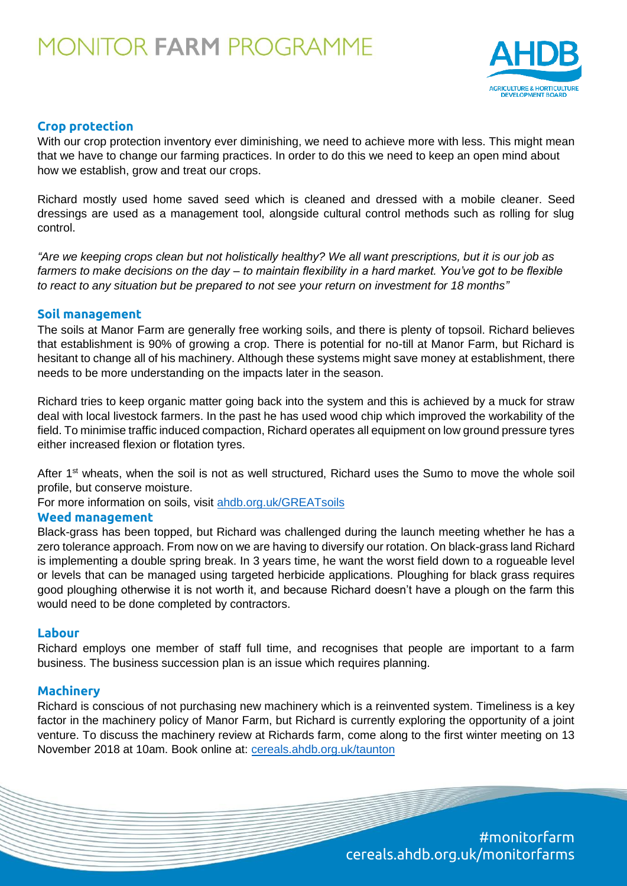

#### **Crop protection**

With our crop protection inventory ever diminishing, we need to achieve more with less. This might mean that we have to change our farming practices. In order to do this we need to keep an open mind about how we establish, grow and treat our crops.

Richard mostly used home saved seed which is cleaned and dressed with a mobile cleaner. Seed dressings are used as a management tool, alongside cultural control methods such as rolling for slug control.

*"Are we keeping crops clean but not holistically healthy? We all want prescriptions, but it is our job as farmers to make decisions on the day – to maintain flexibility in a hard market. You've got to be flexible to react to any situation but be prepared to not see your return on investment for 18 months"*

#### **Soil management**

The soils at Manor Farm are generally free working soils, and there is plenty of topsoil. Richard believes that establishment is 90% of growing a crop. There is potential for no-till at Manor Farm, but Richard is hesitant to change all of his machinery. Although these systems might save money at establishment, there needs to be more understanding on the impacts later in the season.

Richard tries to keep organic matter going back into the system and this is achieved by a muck for straw deal with local livestock farmers. In the past he has used wood chip which improved the workability of the field. To minimise traffic induced compaction, Richard operates all equipment on low ground pressure tyres either increased flexion or flotation tyres.

After 1<sup>st</sup> wheats, when the soil is not as well structured, Richard uses the Sumo to move the whole soil profile, but conserve moisture.

For more information on soils, visit [ahdb.org.uk/GREATsoils](https://ahdb.org.uk/projects/greatsoils.aspx)

#### **Weed management**

Black-grass has been topped, but Richard was challenged during the launch meeting whether he has a zero tolerance approach. From now on we are having to diversify our rotation. On black-grass land Richard is implementing a double spring break. In 3 years time, he want the worst field down to a rogueable level or levels that can be managed using targeted herbicide applications. Ploughing for black grass requires good ploughing otherwise it is not worth it, and because Richard doesn't have a plough on the farm this would need to be done completed by contractors.

#### **Labour**

Richard employs one member of staff full time, and recognises that people are important to a farm business. The business succession plan is an issue which requires planning.

#### **Machinery**

Richard is conscious of not purchasing new machinery which is a reinvented system. Timeliness is a key factor in the machinery policy of Manor Farm, but Richard is currently exploring the opportunity of a joint venture. To discuss the machinery review at Richards farm, come along to the first winter meeting on 13 November 2018 at 10am. Book online at: [cereals.ahdb.org.uk/t](https://cereals.ahdb.org.uk/get-involved/monitorfarms/saltburn-monitor-farm.aspx)aunton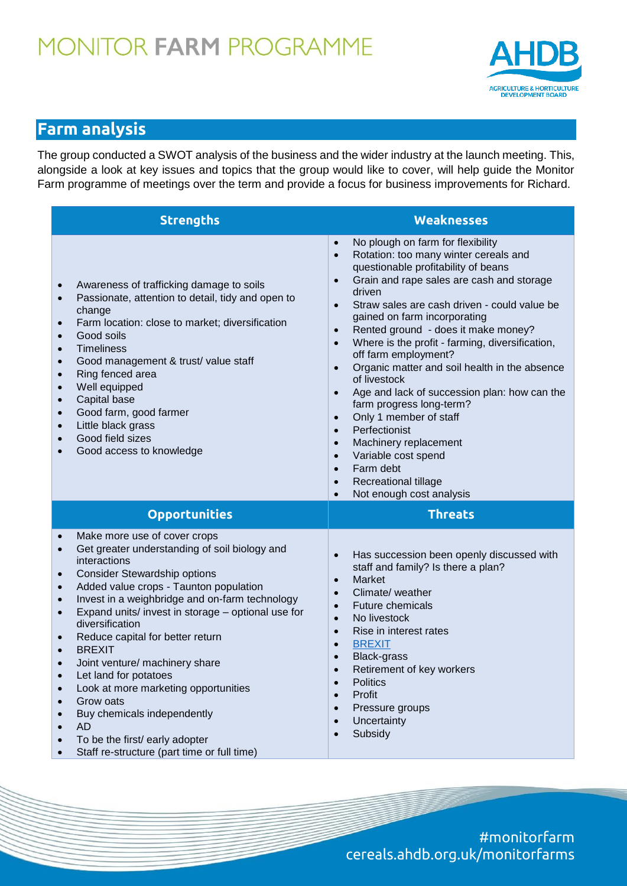

## **Farm analysis**

The group conducted a SWOT analysis of the business and the wider industry at the launch meeting. This, alongside a look at key issues and topics that the group would like to cover, will help guide the Monitor Farm programme of meetings over the term and provide a focus for business improvements for Richard.

| <b>Strengths</b>                                                                                                                                                                                                                                                                                                                                                                                                                                                                                                                                                                                                                                                                                                                 | <b>Weaknesses</b>                                                                                                                                                                                                                                                                                                                                                                                                                                                                                                                                                                                                                                                                                                                                                                                                                                            |
|----------------------------------------------------------------------------------------------------------------------------------------------------------------------------------------------------------------------------------------------------------------------------------------------------------------------------------------------------------------------------------------------------------------------------------------------------------------------------------------------------------------------------------------------------------------------------------------------------------------------------------------------------------------------------------------------------------------------------------|--------------------------------------------------------------------------------------------------------------------------------------------------------------------------------------------------------------------------------------------------------------------------------------------------------------------------------------------------------------------------------------------------------------------------------------------------------------------------------------------------------------------------------------------------------------------------------------------------------------------------------------------------------------------------------------------------------------------------------------------------------------------------------------------------------------------------------------------------------------|
| Awareness of trafficking damage to soils<br>$\bullet$<br>Passionate, attention to detail, tidy and open to<br>$\bullet$<br>change<br>Farm location: close to market; diversification<br>$\bullet$<br>Good soils<br>$\bullet$<br><b>Timeliness</b><br>$\bullet$<br>Good management & trust/ value staff<br>$\bullet$<br>Ring fenced area<br>$\bullet$<br>Well equipped<br>$\bullet$<br>Capital base<br>$\bullet$<br>Good farm, good farmer<br>$\bullet$<br>Little black grass<br>$\bullet$<br>Good field sizes<br>$\bullet$<br>Good access to knowledge<br>$\bullet$                                                                                                                                                              | No plough on farm for flexibility<br>$\bullet$<br>Rotation: too many winter cereals and<br>$\bullet$<br>questionable profitability of beans<br>Grain and rape sales are cash and storage<br>$\bullet$<br>driven<br>Straw sales are cash driven - could value be<br>$\bullet$<br>gained on farm incorporating<br>Rented ground - does it make money?<br>$\bullet$<br>Where is the profit - farming, diversification,<br>$\bullet$<br>off farm employment?<br>Organic matter and soil health in the absence<br>$\bullet$<br>of livestock<br>Age and lack of succession plan: how can the<br>farm progress long-term?<br>Only 1 member of staff<br>$\bullet$<br>Perfectionist<br>$\bullet$<br>Machinery replacement<br>$\bullet$<br>Variable cost spend<br>$\bullet$<br>Farm debt<br>$\bullet$<br>Recreational tillage<br>$\bullet$<br>Not enough cost analysis |
| <b>Opportunities</b>                                                                                                                                                                                                                                                                                                                                                                                                                                                                                                                                                                                                                                                                                                             | <b>Threats</b>                                                                                                                                                                                                                                                                                                                                                                                                                                                                                                                                                                                                                                                                                                                                                                                                                                               |
| Make more use of cover crops<br>$\bullet$<br>Get greater understanding of soil biology and<br>$\bullet$<br>interactions<br><b>Consider Stewardship options</b><br>$\bullet$<br>Added value crops - Taunton population<br>$\bullet$<br>Invest in a weighbridge and on-farm technology<br>$\bullet$<br>Expand units/ invest in storage - optional use for<br>$\bullet$<br>diversification<br>Reduce capital for better return<br>$\bullet$<br><b>BREXIT</b><br>Joint venture/ machinery share<br>$\bullet$<br>Let land for potatoes<br>Look at more marketing opportunities<br>$\bullet$<br>Grow oats<br>Buy chemicals independently<br><b>AD</b><br>To be the first/ early adopter<br>Staff re-structure (part time or full time) | Has succession been openly discussed with<br>staff and family? Is there a plan?<br>Market<br>$\bullet$<br>Climate/weather<br><b>Future chemicals</b><br>$\bullet$<br>No livestock<br>$\bullet$<br>Rise in interest rates<br>$\bullet$<br><b>BREXIT</b><br>$\bullet$<br><b>Black-grass</b><br>$\bullet$<br>Retirement of key workers<br>$\bullet$<br><b>Politics</b><br>$\bullet$<br>Profit<br>Pressure groups<br>Uncertainty<br>Subsidy<br>$\bullet$                                                                                                                                                                                                                                                                                                                                                                                                         |